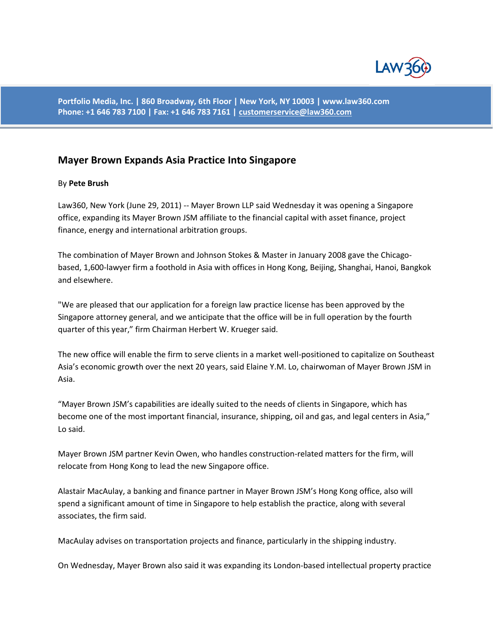

**Portfolio Media, Inc. | 860 Broadway, 6th Floor | New York, NY 10003 | www.law360.com Phone: +1 646 783 7100 | Fax: +1 646 783 7161 [| customerservice@law360.com](mailto:customerservice@law360.com)**

## **Mayer Brown Expands Asia Practice Into Singapore**

## By **Pete Brush**

Law360, New York (June 29, 2011) -- Mayer Brown LLP said Wednesday it was opening a Singapore office, expanding its Mayer Brown JSM affiliate to the financial capital with asset finance, project finance, energy and international arbitration groups.

The combination of Mayer Brown and Johnson Stokes & Master in January 2008 gave the Chicagobased, 1,600-lawyer firm a foothold in Asia with offices in Hong Kong, Beijing, Shanghai, Hanoi, Bangkok and elsewhere.

"We are pleased that our application for a foreign law practice license has been approved by the Singapore attorney general, and we anticipate that the office will be in full operation by the fourth quarter of this year," firm Chairman Herbert W. Krueger said.

The new office will enable the firm to serve clients in a market well-positioned to capitalize on Southeast Asia's economic growth over the next 20 years, said Elaine Y.M. Lo, chairwoman of Mayer Brown JSM in Asia.

"Mayer Brown JSM's capabilities are ideally suited to the needs of clients in Singapore, which has become one of the most important financial, insurance, shipping, oil and gas, and legal centers in Asia," Lo said.

Mayer Brown JSM partner Kevin Owen, who handles construction-related matters for the firm, will relocate from Hong Kong to lead the new Singapore office.

Alastair MacAulay, a banking and finance partner in Mayer Brown JSM's Hong Kong office, also will spend a significant amount of time in Singapore to help establish the practice, along with several associates, the firm said.

MacAulay advises on transportation projects and finance, particularly in the shipping industry.

On Wednesday, Mayer Brown also said it was expanding its London-based intellectual property practice